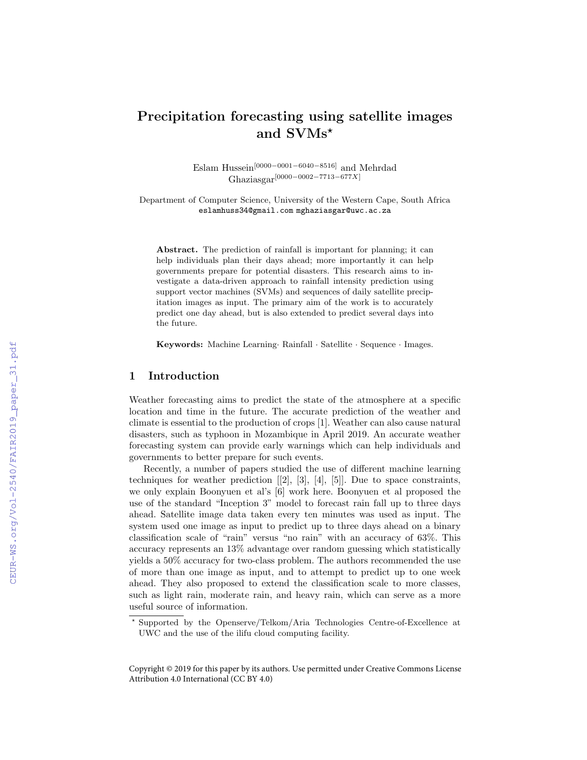## Precipitation forecasting using satellite images and SVMs\*

Eslam Hussein[0000−0001−6040−8516] and Mehrdad Ghaziasgar[0000−0002−7713−677X]

Department of Computer Science, University of the Western Cape, South Africa eslamhuss34@gmail.com mghaziasgar@uwc.ac.za

Abstract. The prediction of rainfall is important for planning; it can help individuals plan their days ahead; more importantly it can help governments prepare for potential disasters. This research aims to investigate a data-driven approach to rainfall intensity prediction using support vector machines (SVMs) and sequences of daily satellite precipitation images as input. The primary aim of the work is to accurately predict one day ahead, but is also extended to predict several days into the future.

Keywords: Machine Learning· Rainfall · Satellite · Sequence · Images.

## 1 Introduction

Weather forecasting aims to predict the state of the atmosphere at a specific location and time in the future. The accurate prediction of the weather and climate is essential to the production of crops [1]. Weather can also cause natural disasters, such as typhoon in Mozambique in April 2019. An accurate weather forecasting system can provide early warnings which can help individuals and governments to better prepare for such events.

Recently, a number of papers studied the use of different machine learning techniques for weather prediction  $[2]$ ,  $[3]$ ,  $[4]$ ,  $[5]$ . Due to space constraints, we only explain Boonyuen et al's [6] work here. Boonyuen et al proposed the use of the standard "Inception 3" model to forecast rain fall up to three days ahead. Satellite image data taken every ten minutes was used as input. The system used one image as input to predict up to three days ahead on a binary classification scale of "rain" versus "no rain" with an accuracy of 63%. This accuracy represents an 13% advantage over random guessing which statistically yields a 50% accuracy for two-class problem. The authors recommended the use of more than one image as input, and to attempt to predict up to one week ahead. They also proposed to extend the classification scale to more classes, such as light rain, moderate rain, and heavy rain, which can serve as a more useful source of information.

<sup>?</sup> Supported by the Openserve/Telkom/Aria Technologies Centre-of-Excellence at UWC and the use of the ilifu cloud computing facility.

Copyright © 2019 for this paper by its authors. Use permitted under Creative Commons License Attribution 4.0 International (CC BY 4.0)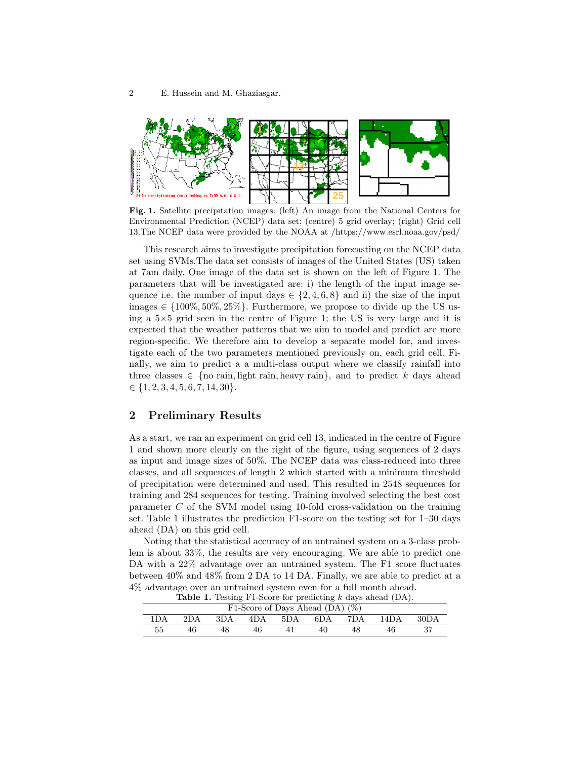

Fig. 1. Satellite precipitation images: (left) An image from the National Centers for Environmental Prediction (NCEP) data set; (centre) 5 grid overlay; (right) Grid cell 13.The NCEP data were provided by the NOAA at /https://www.esrl.noaa.gov/psd/

This research aims to investigate precipitation forecasting on the NCEP data set using SVMs.The data set consists of images of the United States (US) taken at 7am daily. One image of the data set is shown on the left of Figure 1. The parameters that will be investigated are: i) the length of the input image sequence i.e. the number of input days  $\in \{2, 4, 6, 8\}$  and ii) the size of the input images  $\in \{100\%, 50\%, 25\%\}.$  Furthermore, we propose to divide up the US using a 5×5 grid seen in the centre of Figure 1; the US is very large and it is expected that the weather patterns that we aim to model and predict are more region-specific. We therefore aim to develop a separate model for, and investigate each of the two parameters mentioned previously on, each grid cell. Finally, we aim to predict a a multi-class output where we classify rainfall into three classes  $\in \{$  no rain, light rain, heavy rain $\}$ , and to predict k days ahead  $\in \{1, 2, 3, 4, 5, 6, 7, 14, 30\}.$ 

## 2 Preliminary Results

As a start, we ran an experiment on grid cell 13, indicated in the centre of Figure 1 and shown more clearly on the right of the figure, using sequences of 2 days as input and image sizes of 50%. The NCEP data was class-reduced into three classes, and all sequences of length 2 which started with a minimum threshold of precipitation were determined and used. This resulted in 2548 sequences for training and 284 sequences for testing. Training involved selecting the best cost parameter C of the SVM model using 10-fold cross-validation on the training set. Table 1 illustrates the prediction F1-score on the testing set for 1–30 days ahead (DA) on this grid cell.

Noting that the statistical accuracy of an untrained system on a 3-class problem is about 33%, the results are very encouraging. We are able to predict one DA with a 22% advantage over an untrained system. The F1 score fluctuates between 40% and 48% from 2 DA to 14 DA. Finally, we are able to predict at a 4% advantage over an untrained system even for a full month ahead.

| F1-Score of Days Ahead (DA) $(\%)$ |     |     |     |     |     |     |                   |      |
|------------------------------------|-----|-----|-----|-----|-----|-----|-------------------|------|
| 'DA                                | 2DA | 3DA | 4DA | 5DA | 6DA | 7DA | 14 <sub>D</sub> A | 30DA |
|                                    |     |     |     |     | 41  |     |                   |      |

**Table 1.** Testing F1-Score for predicting  $k$  days ahead  $(DA)$ .